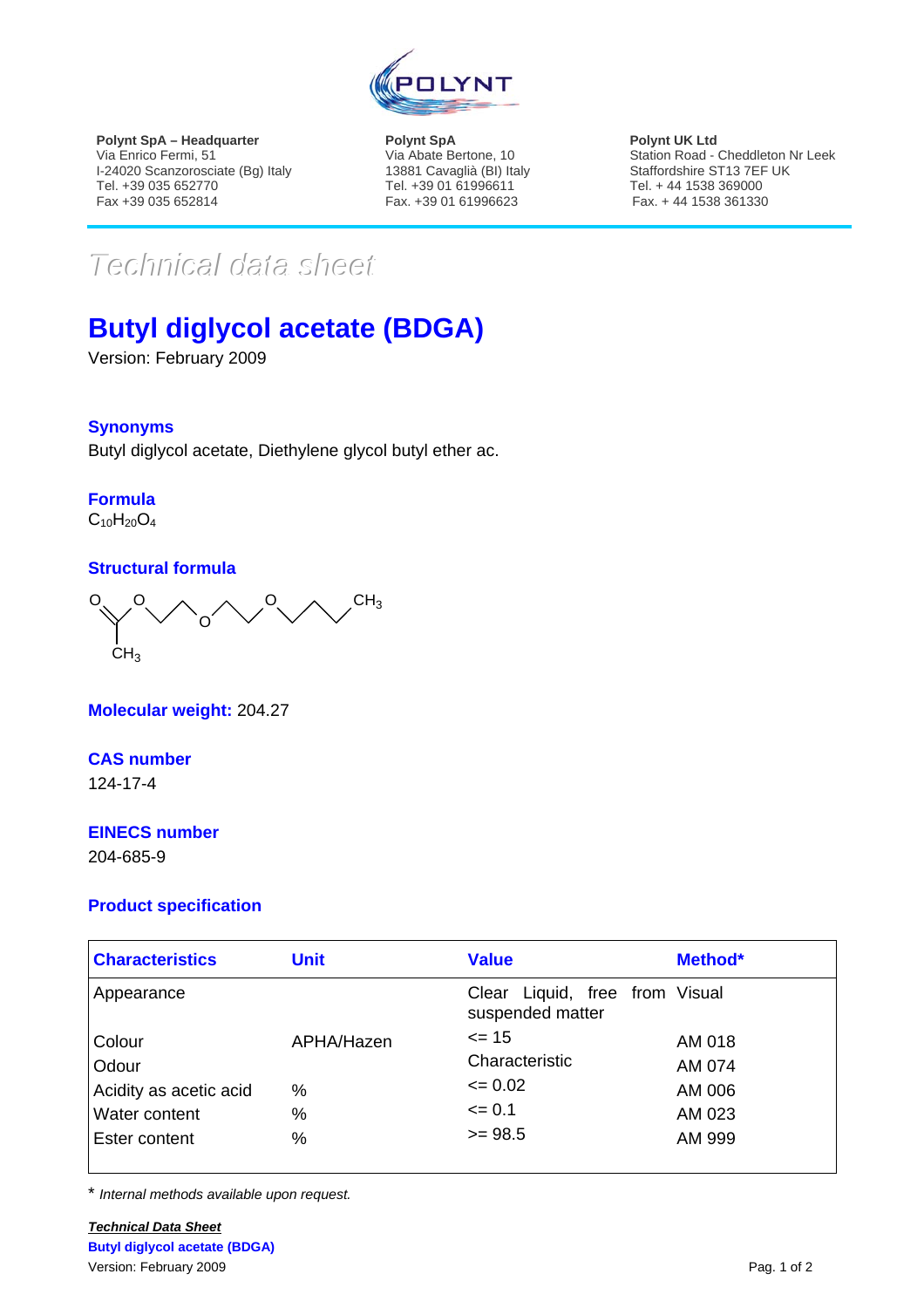

**Polynt SpA – Headquarter**  Via Enrico Fermi, 51 I-24020 Scanzorosciate (Bg) Italy Tel. +39 035 652770 Fax +39 035 652814

**Polynt SpA**  Via Abate Bertone, 10 13881 Cavaglià (BI) Italy Tel. +39 01 61996611 Fax. +39 01 61996623

**Polynt UK Ltd**  Station Road - Cheddleton Nr Leek Staffordshire ST13 7EF UK Tel. + 44 1538 369000 Fax. + 44 1538 361330

# *TTeecchhnniiccaall ddaattaa sshheeeett*

## **Butyl diglycol acetate (BDGA)**

Version: February 2009

#### **Synonyms**

Butyl diglycol acetate, Diethylene glycol butyl ether ac.

### **Formula**

 $C_{10}H_{20}O_4$ 

#### **Structural formula**



**Molecular weight:** 204.27

#### **CAS number**

124-17-4

#### **EINECS number**

204-685-9

#### **Product specification**

| <b>Characteristics</b> | <b>Unit</b> | <b>Value</b>                                          | Method* |
|------------------------|-------------|-------------------------------------------------------|---------|
| Appearance             |             | Liquid, free from Visual<br>Clear<br>suspended matter |         |
| Colour                 | APHA/Hazen  | $\leq$ 15                                             | AM 018  |
| Odour                  |             | Characteristic                                        | AM 074  |
| Acidity as acetic acid | %           | $\leq 0.02$                                           | AM 006  |
| Water content          | %           | $\leq 0.1$                                            | AM 023  |
| Ester content          | %           | $>= 98.5$                                             | AM 999  |

\* *Internal methods available upon request.*